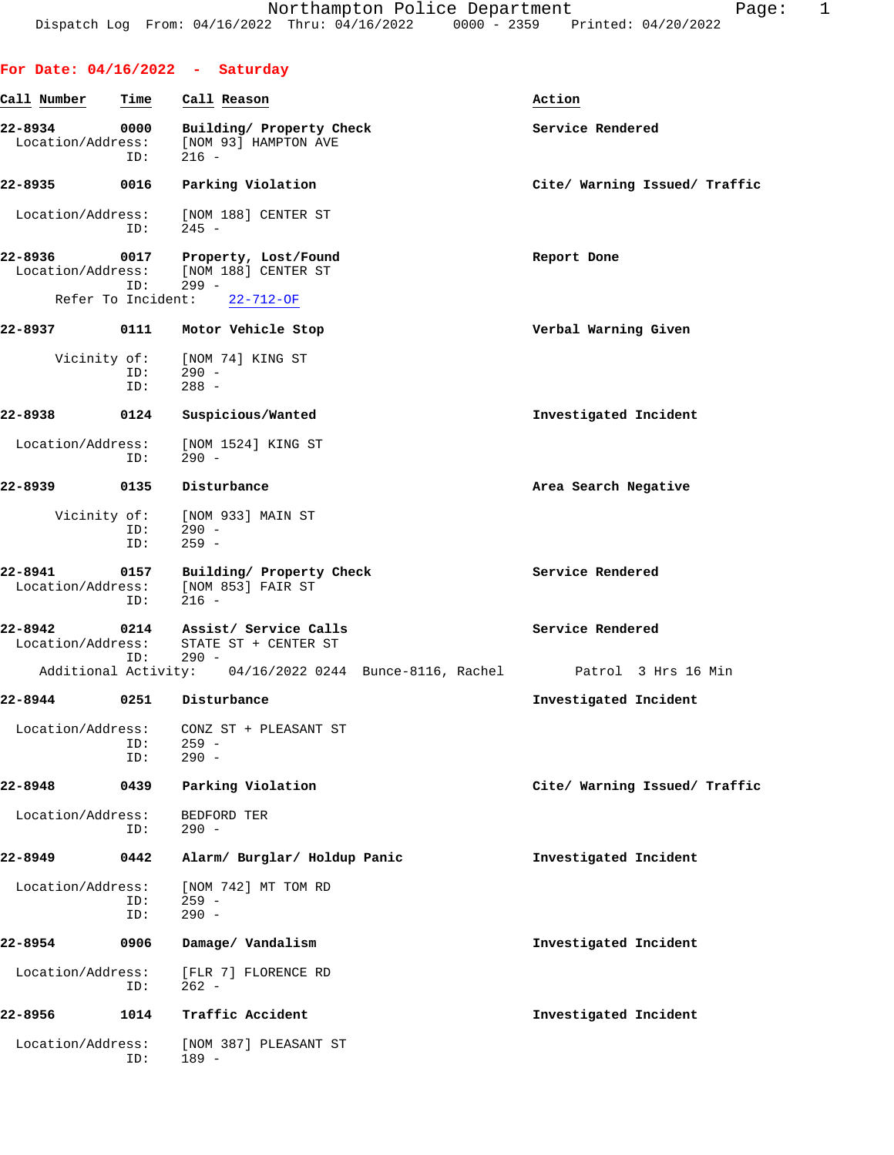|                              |             | For Date: $04/16/2022 -$ Saturday                                             |                               |
|------------------------------|-------------|-------------------------------------------------------------------------------|-------------------------------|
| Call Number                  | Time        | Call Reason                                                                   | Action                        |
| 22-8934<br>Location/Address: | 0000<br>ID: | Building/ Property Check<br>[NOM 93] HAMPTON AVE<br>$216 -$                   | Service Rendered              |
| 22-8935                      | 0016        | Parking Violation                                                             | Cite/ Warning Issued/ Traffic |
| Location/Address:            | ID:         | [NOM 188] CENTER ST<br>$245 -$                                                |                               |
| 22-8936                      | ID:         | 0017 Property, Lost/Found<br>Location/Address: [NOM 188] CENTER ST<br>$299 -$ | Report Done                   |
| Refer To Incident:           |             | $22 - 712 - OF$                                                               |                               |
| 22-8937 0111                 |             | Motor Vehicle Stop                                                            | Verbal Warning Given          |
| Vicinity of:                 | ID:<br>ID:  | [NOM 74] KING ST<br>$290 -$<br>$288 -$                                        |                               |
| 22-8938                      | 0124        | Suspicious/Wanted                                                             | Investigated Incident         |
| Location/Address:            | ID:         | [NOM 1524] KING ST<br>$290 -$                                                 |                               |
| 22-8939                      | 0135        | Disturbance                                                                   | Area Search Negative          |
| Vicinity of:                 | ID:<br>ID:  | [NOM 933] MAIN ST<br>$290 -$<br>$259 -$                                       |                               |
| 22-8941<br>Location/Address: | 0157<br>ID: | Building/ Property Check<br>[NOM 853] FAIR ST<br>$216 -$                      | Service Rendered              |
| 22-8942<br>Location/Address: | ID:         | 0214 Assist/ Service Calls<br>STATE ST + CENTER ST<br>$290 -$                 | Service Rendered              |
|                              |             | Additional Activity: 04/16/2022 0244 Bunce-8116, Rachel Patrol 3 Hrs 16 Min   |                               |
| 22-8944                      | 0251        | Disturbance                                                                   | Investigated Incident         |
| Location/Address:            | ID:<br>ID:  | CONZ ST + PLEASANT ST<br>$259 -$<br>$290 -$                                   |                               |
| 22-8948                      | 0439        | Parking Violation                                                             | Cite/ Warning Issued/ Traffic |
| Location/Address:            | ID:         | BEDFORD TER<br>$290 -$                                                        |                               |
| 22-8949                      | 0442        | Alarm/ Burglar/ Holdup Panic                                                  | Investigated Incident         |
| Location/Address:            | ID:<br>ID:  | [NOM 742] MT TOM RD<br>$259 -$<br>$290 -$                                     |                               |
| 22-8954                      | 0906        | Damage/ Vandalism                                                             | Investigated Incident         |
| Location/Address:            | ID:         | [FLR 7] FLORENCE RD<br>$262 -$                                                |                               |
| 22-8956                      | 1014        | Traffic Accident                                                              | Investigated Incident         |
| Location/Address:            | ID:         | [NOM 387] PLEASANT ST<br>$189 -$                                              |                               |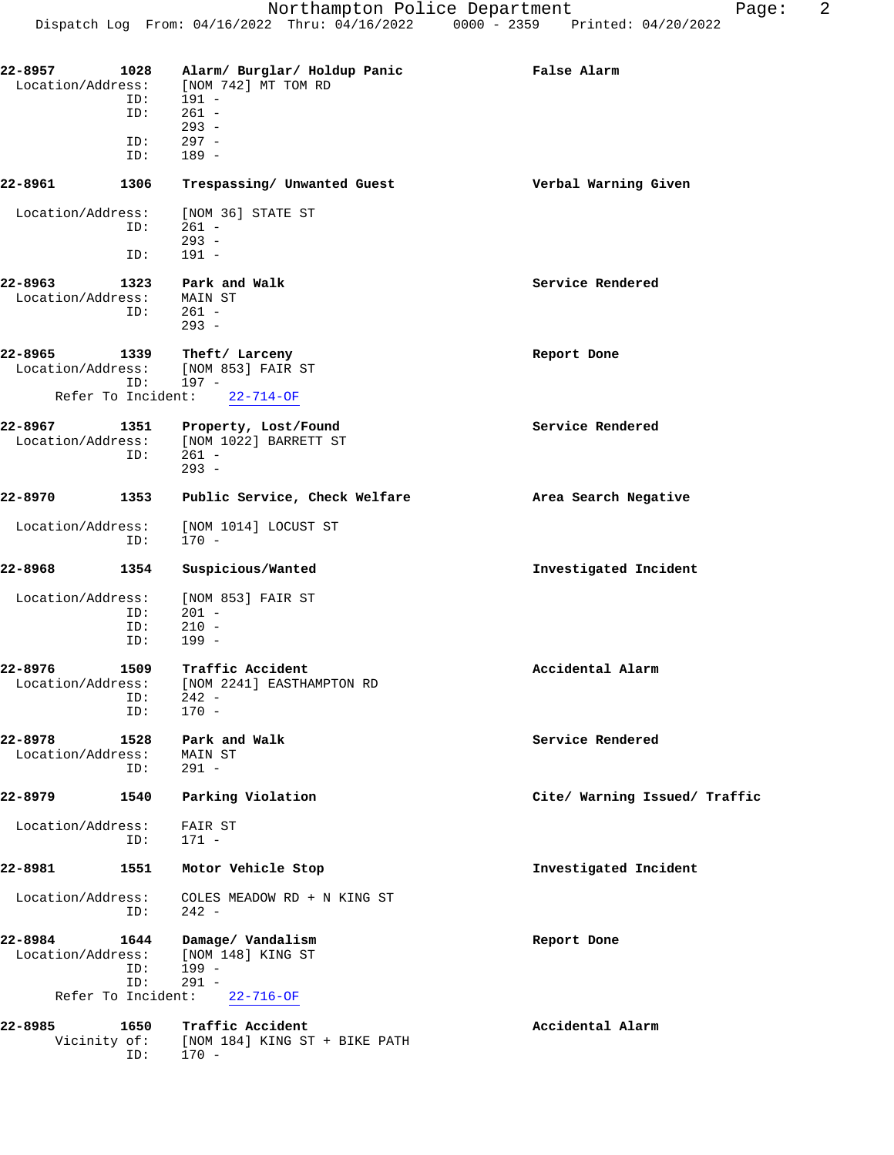| 22-8957<br>Location/Address:     | 1028        | Alarm/ Burglar/ Holdup Panic<br>[NOM 742] MT TOM RD                 | False Alarm                   |
|----------------------------------|-------------|---------------------------------------------------------------------|-------------------------------|
|                                  | ID:<br>ID:  | 191 -<br>$261 -$                                                    |                               |
|                                  |             | $293 -$<br>$297 -$                                                  |                               |
|                                  | ID:<br>ID:  | $189 -$                                                             |                               |
| 22-8961                          | 1306        | Trespassing/ Unwanted Guest                                         | Verbal Warning Given          |
| Location/Address:                | ID:         | [NOM 36] STATE ST<br>$261 -$<br>$293 -$                             |                               |
|                                  | ID:         | $191 -$                                                             |                               |
| 22-8963<br>Location/Address:     | 1323<br>ID: | Park and Walk<br>MAIN ST<br>$261 -$<br>$293 -$                      | Service Rendered              |
| 22-8965<br>Location/Address:     | 1339<br>ID: | Theft/ Larceny<br>[NOM 853] FAIR ST<br>$197 -$                      | Report Done                   |
| Refer To Incident:               |             | $22 - 714 - OF$                                                     |                               |
| 22-8967<br>Location/Address:     | 1351<br>ID: | Property, Lost/Found<br>[NOM 1022] BARRETT ST<br>$261 -$<br>$293 -$ | Service Rendered              |
| 22-8970                          | 1353        | Public Service, Check Welfare                                       | Area Search Negative          |
| Location/Address:                | ID:         | [NOM 1014] LOCUST ST<br>$170 -$                                     |                               |
| 22-8968                          | 1354        | Suspicious/Wanted                                                   | Investigated Incident         |
| Location/Address:                |             | [NOM 853] FAIR ST                                                   |                               |
|                                  | ID:<br>ID:  | $201 -$<br>$210 -$                                                  |                               |
|                                  | ID:         | $199 -$                                                             |                               |
| $22 - 8976$<br>Location/Address: | 1509<br>ID: | Traffic Accident<br>[NOM 2241] EASTHAMPTON RD<br>242 -              | Accidental Alarm              |
|                                  | ID:         | $170 -$                                                             |                               |
| 22-8978<br>Location/Address:     | 1528        | Park and Walk<br>MAIN ST                                            | Service Rendered              |
|                                  | ID:         | $291 -$                                                             |                               |
| 22-8979                          | 1540        | Parking Violation                                                   | Cite/ Warning Issued/ Traffic |
| Location/Address:                | ID:         | FAIR ST<br>$171 -$                                                  |                               |
| 22-8981                          | 1551        | Motor Vehicle Stop                                                  | Investigated Incident         |
| Location/Address:                | ID:         | COLES MEADOW RD + N KING ST<br>$242 -$                              |                               |
| 22-8984<br>Location/Address:     | 1644<br>ID: | Damage/ Vandalism<br>[NOM 148] KING ST<br>199 -                     | Report Done                   |
| Refer To Incident:               | ID:         | $291 -$<br>$22 - 716 - OF$                                          |                               |
|                                  |             |                                                                     |                               |
| 22-8985                          | 1650        | Traffic Accident<br>Vicinity of: [NOM 184] KING ST + BIKE PATH      | Accidental Alarm              |

ID: 170 -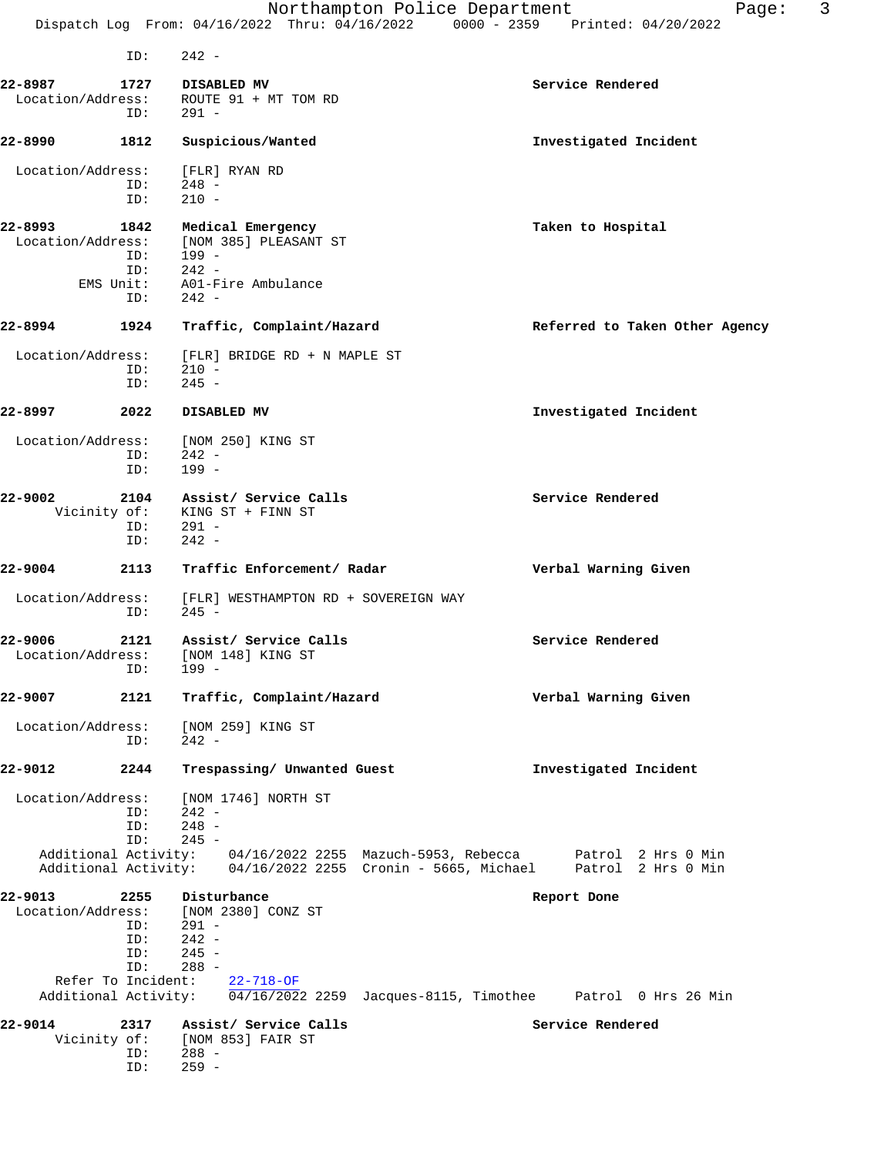ID: 242 - **22-8987 1727 DISABLED MV Service Rendered** Location/Address: ROUTE 91 + MT TOM RD ID: 291 - **22-8990 1812 Suspicious/Wanted Investigated Incident** Location/Address: [FLR] RYAN RD<br>ID: 248 - $248 -$  ID: 210 - **22-8993 1842 Medical Emergency Taken to Hospital** Location/Address: [NOM 385] PLEASANT ST<br>ID: 199 -ID: 199 -<br>ID: 242 -<br>EMS Unit: A01-F: ID: 242 - EMS Unit: A01-Fire Ambulance ID: 242 - **22-8994 1924 Traffic, Complaint/Hazard Referred to Taken Other Agency** Location/Address: [FLR] BRIDGE RD + N MAPLE ST ID: 210 - ID: 245 - **22-8997 2022 DISABLED MV Investigated Incident** Location/Address: [NOM 250] KING ST<br>ID: 242 -ID: 242 -<br>ID: 199 - ID: 199 - **22-9002 2104 Assist/ Service Calls Service Rendered** Vicinity of: KING ST + FINN ST<br>ID: 291 -291 - ID: 242 - **22-9004 2113 Traffic Enforcement/ Radar Verbal Warning Given** Location/Address: [FLR] WESTHAMPTON RD + SOVEREIGN WAY ID: 245 - **22-9006 2121 Assist/ Service Calls Service Rendered** Location/Address: [NOM 148] KING ST ID: 199 - **22-9007 2121 Traffic, Complaint/Hazard Verbal Warning Given** Location/Address: [NOM 259] KING ST ID: 242 - **22-9012 2244 Trespassing/ Unwanted Guest Investigated Incident** Location/Address: [NOM 1746] NORTH ST ID: 242 -<br>ID: 248 -ID: 248 -<br>ID: 245 - ID: 245 - Additional Activity: 04/16/2022 2255 Mazuch-5953, Rebecca Patrol 2 Hrs 0 Min Additional Activity: 04/16/2022 2255 Cronin - 5665, Michael Patrol 2 Hrs 0 Min **22-9013 2255 Disturbance Report Done** Location/Address: [NOM 2380] CONZ ST<br>ID: 291 - $291 -$ ID: 242 -<br>ID: 245 - $\overline{1D}:$  245 -<br> $\overline{1D}:$  245 - $288 -$  Refer To Incident: 22-718-OF Additional Activity:  $\sqrt{04/16/2022}$  2259 Jacques-8115, Timothee Patrol 0 Hrs 26 Min 22-9014 2317 Assist/ Service Calls **22-9014** Service Rendered Vicinity of: [NOM 853] FAIR ST ID: 288 - ID: 259 -